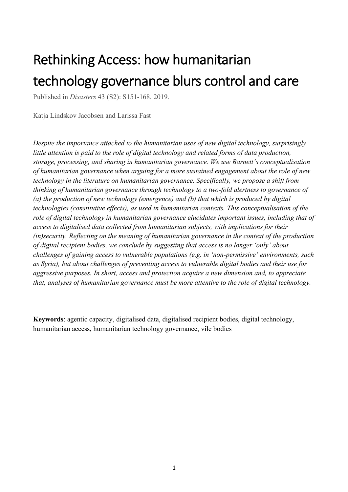# Rethinking Access: how humanitarian technology governance blurs control and care

Published in *Disasters* 43 (S2): S151-168. 2019.

Katja Lindskov Jacobsen and Larissa Fast

*Despite the importance attached to the humanitarian uses of new digital technology, surprisingly little attention is paid to the role of digital technology and related forms of data production, storage, processing, and sharing in humanitarian governance. We use Barnett's conceptualisation of humanitarian governance when arguing for a more sustained engagement about the role of new technology in the literature on humanitarian governance. Specifically, we propose a shift from thinking of humanitarian governance through technology to a two-fold alertness to governance of (a) the production of new technology (emergence) and (b) that which is produced by digital technologies (constitutive effects), as used in humanitarian contexts. This conceptualisation of the role of digital technology in humanitarian governance elucidates important issues, including that of access to digitalised data collected from humanitarian subjects, with implications for their (in)security. Reflecting on the meaning of humanitarian governance in the context of the production of digital recipient bodies, we conclude by suggesting that access is no longer 'only' about challenges of gaining access to vulnerable populations (e.g. in 'non-permissive' environments, such as Syria), but about challenges of preventing access to vulnerable digital bodies and their use for aggressive purposes. In short, access and protection acquire a new dimension and, to appreciate that, analyses of humanitarian governance must be more attentive to the role of digital technology.*

**Keywords**: agentic capacity, digitalised data, digitalised recipient bodies, digital technology, humanitarian access, humanitarian technology governance, vile bodies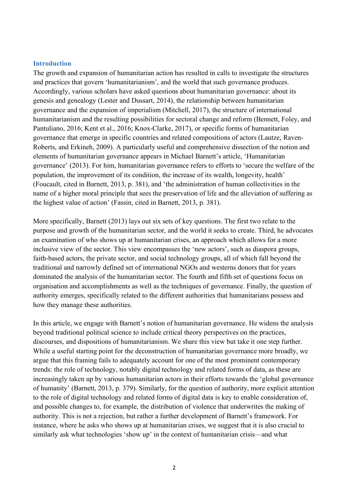#### **Introduction**

The growth and expansion of humanitarian action has resulted in calls to investigate the structures and practices that govern 'humanitarianism', and the world that such governance produces. Accordingly, various scholars have asked questions about humanitarian governance: about its genesis and genealogy (Lester and Dussart, 2014), the relationship between humanitarian governance and the expansion of imperialism (Mitchell, 2017), the structure of international humanitarianism and the resulting possibilities for sectoral change and reform (Bennett, Foley, and Pantuliano, 2016; Kent et al., 2016; Knox-Clarke, 2017), or specific forms of humanitarian governance that emerge in specific countries and related compositions of actors (Lautze, Raven-Roberts, and Erkineh, 2009). A particularly useful and comprehensive dissection of the notion and elements of humanitarian governance appears in Michael Barnett's article, 'Humanitarian governance' (2013). For him, humanitarian governance refers to efforts to 'secure the welfare of the population, the improvement of its condition, the increase of its wealth, longevity, health' (Foucault, cited in Barnett, 2013, p. 381), and 'the administration of human collectivities in the name of a higher moral principle that sees the preservation of life and the alleviation of suffering as the highest value of action' (Fassin, cited in Barnett, 2013, p. 381).

More specifically, Barnett (2013) lays out six sets of key questions. The first two relate to the purpose and growth of the humanitarian sector, and the world it seeks to create. Third, he advocates an examination of who shows up at humanitarian crises, an approach which allows for a more inclusive view of the sector. This view encompasses the 'new actors', such as diaspora groups, faith-based actors, the private sector, and social technology groups, all of which fall beyond the traditional and narrowly defined set of international NGOs and westerns donors that for years dominated the analysis of the humanitarian sector. The fourth and fifth set of questions focus on organisation and accomplishments as well as the techniques of governance. Finally, the question of authority emerges, specifically related to the different authorities that humanitarians possess and how they manage these authorities.

In this article, we engage with Barnett's notion of humanitarian governance. He widens the analysis beyond traditional political science to include critical theory perspectives on the practices, discourses, and dispositions of humanitarianism. We share this view but take it one step further. While a useful starting point for the deconstruction of humanitarian governance more broadly, we argue that this framing fails to adequately account for one of the most prominent contemporary trends: the role of technology, notably digital technology and related forms of data, as these are increasingly taken up by various humanitarian actors in their efforts towards the 'global governance of humanity' (Barnett, 2013, p. 379). Similarly, for the question of authority, more explicit attention to the role of digital technology and related forms of digital data is key to enable consideration of, and possible changes to, for example, the distribution of violence that underwrites the making of authority. This is not a rejection, but rather a further development of Barnett's framework. For instance, where he asks who shows up at humanitarian crises, we suggest that it is also crucial to similarly ask what technologies 'show up' in the context of humanitarian crisis—and what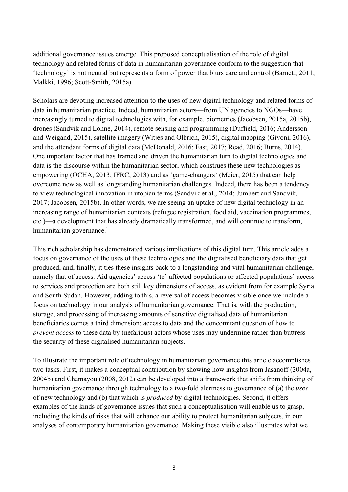additional governance issues emerge. This proposed conceptualisation of the role of digital technology and related forms of data in humanitarian governance conform to the suggestion that 'technology' is not neutral but represents a form of power that blurs care and control (Barnett, 2011; Malkki, 1996; Scott-Smith, 2015a).

Scholars are devoting increased attention to the uses of new digital technology and related forms of data in humanitarian practice. Indeed, humanitarian actors—from UN agencies to NGOs—have increasingly turned to digital technologies with, for example, biometrics (Jacobsen, 2015a, 2015b), drones (Sandvik and Lohne, 2014), remote sensing and programming (Duffield, 2016; Andersson and Weigand, 2015), satellite imagery (Witjes and Olbrich, 2015), digital mapping (Givoni, 2016), and the attendant forms of digital data (McDonald, 2016; Fast, 2017; Read, 2016; Burns, 2014). One important factor that has framed and driven the humanitarian turn to digital technologies and data is the discourse within the humanitarian sector, which construes these new technologies as empowering (OCHA, 2013; IFRC, 2013) and as 'game-changers' (Meier, 2015) that can help overcome new as well as longstanding humanitarian challenges. Indeed, there has been a tendency to view technological innovation in utopian terms (Sandvik et al., 2014; Jumbert and Sandvik, 2017; Jacobsen, 2015b). In other words, we are seeing an uptake of new digital technology in an increasing range of humanitarian contexts (refugee registration, food aid, vaccination programmes, etc.)—a development that has already dramatically transformed, and will continue to transform, humanitarian governance.<sup>1</sup>

This rich scholarship has demonstrated various implications of this digital turn. This article adds a focus on governance of the uses of these technologies and the digitalised beneficiary data that get produced, and, finally, it ties these insights back to a longstanding and vital humanitarian challenge, namely that of access. Aid agencies' access 'to' affected populations or affected populations' access to services and protection are both still key dimensions of access, as evident from for example Syria and South Sudan. However, adding to this, a reversal of access becomes visible once we include a focus on technology in our analysis of humanitarian governance. That is, with the production, storage, and processing of increasing amounts of sensitive digitalised data of humanitarian beneficiaries comes a third dimension: access to data and the concomitant question of how to *prevent access* to these data by (nefarious) actors whose uses may undermine rather than buttress the security of these digitalised humanitarian subjects.

To illustrate the important role of technology in humanitarian governance this article accomplishes two tasks. First, it makes a conceptual contribution by showing how insights from Jasanoff (2004a, 2004b) and Chamayou (2008, 2012) can be developed into a framework that shifts from thinking of humanitarian governance through technology to a two-fold alertness to governance of (a) the *uses* of new technology and (b) that which is *produced* by digital technologies. Second, it offers examples of the kinds of governance issues that such a conceptualisation will enable us to grasp, including the kinds of risks that will enhance our ability to protect humanitarian subjects, in our analyses of contemporary humanitarian governance. Making these visible also illustrates what we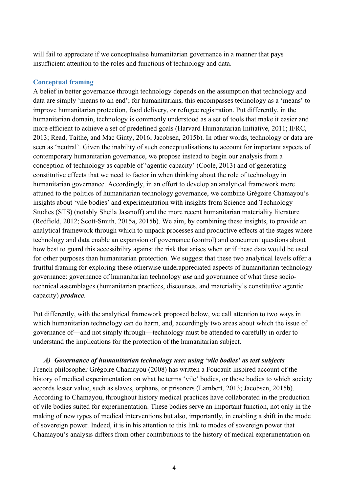will fail to appreciate if we conceptualise humanitarian governance in a manner that pays insufficient attention to the roles and functions of technology and data.

## **Conceptual framing**

A belief in better governance through technology depends on the assumption that technology and data are simply 'means to an end'; for humanitarians, this encompasses technology as a 'means' to improve humanitarian protection, food delivery, or refugee registration. Put differently, in the humanitarian domain, technology is commonly understood as a set of tools that make it easier and more efficient to achieve a set of predefined goals (Harvard Humanitarian Initiative, 2011; IFRC, 2013; Read, Taithe, and Mac Ginty, 2016; Jacobsen, 2015b). In other words, technology or data are seen as 'neutral'. Given the inability of such conceptualisations to account for important aspects of contemporary humanitarian governance, we propose instead to begin our analysis from a conception of technology as capable of 'agentic capacity' (Coole, 2013) and of generating constitutive effects that we need to factor in when thinking about the role of technology in humanitarian governance. Accordingly, in an effort to develop an analytical framework more attuned to the politics of humanitarian technology governance, we combine Grégoire Chamayou's insights about 'vile bodies' and experimentation with insights from Science and Technology Studies (STS) (notably Sheila Jasanoff) and the more recent humanitarian materiality literature (Redfield, 2012; Scott-Smith, 2015a, 2015b). We aim, by combining these insights, to provide an analytical framework through which to unpack processes and productive effects at the stages where technology and data enable an expansion of governance (control) and concurrent questions about how best to guard this accessibility against the risk that arises when or if these data would be used for other purposes than humanitarian protection. We suggest that these two analytical levels offer a fruitful framing for exploring these otherwise underappreciated aspects of humanitarian technology governance: governance of humanitarian technology *use* and governance of what these sociotechnical assemblages (humanitarian practices, discourses, and materiality's constitutive agentic capacity) *produce*.

Put differently, with the analytical framework proposed below, we call attention to two ways in which humanitarian technology can do harm, and, accordingly two areas about which the issue of governance of—and not simply through—technology must be attended to carefully in order to understand the implications for the protection of the humanitarian subject.

*A) Governance of humanitarian technology use: using 'vile bodies' as test subjects*  French philosopher Grégoire Chamayou (2008) has written a Foucault-inspired account of the history of medical experimentation on what he terms 'vile' bodies, or those bodies to which society accords lesser value, such as slaves, orphans, or prisoners (Lambert, 2013; Jacobsen, 2015b). According to Chamayou, throughout history medical practices have collaborated in the production of vile bodies suited for experimentation. These bodies serve an important function, not only in the making of new types of medical interventions but also, importantly, in enabling a shift in the mode of sovereign power. Indeed, it is in his attention to this link to modes of sovereign power that Chamayou's analysis differs from other contributions to the history of medical experimentation on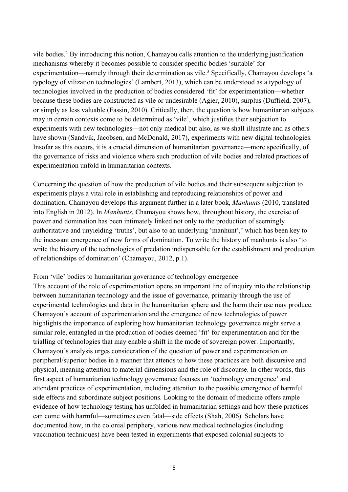vile bodies.2 By introducing this notion, Chamayou calls attention to the underlying justification mechanisms whereby it becomes possible to consider specific bodies 'suitable' for experimentation—namely through their determination as vile.<sup>3</sup> Specifically, Chamayou develops 'a typology of vilization technologies' (Lambert, 2013), which can be understood as a typology of technologies involved in the production of bodies considered 'fit' for experimentation—whether because these bodies are constructed as vile or undesirable (Agier, 2010), surplus (Duffield, 2007), or simply as less valuable (Fassin, 2010). Critically, then, the question is how humanitarian subjects may in certain contexts come to be determined as 'vile', which justifies their subjection to experiments with new technologies—not only medical but also, as we shall illustrate and as others have shown (Sandvik, Jacobsen, and McDonald, 2017), experiments with new digital technologies. Insofar as this occurs, it is a crucial dimension of humanitarian governance—more specifically, of the governance of risks and violence where such production of vile bodies and related practices of experimentation unfold in humanitarian contexts.

Concerning the question of how the production of vile bodies and their subsequent subjection to experiments plays a vital role in establishing and reproducing relationships of power and domination, Chamayou develops this argument further in a later book, *Manhunts* (2010, translated into English in 2012). In *Manhunts*, Chamayou shows how, throughout history, the exercise of power and domination has been intimately linked not only to the production of seemingly authoritative and unyielding 'truths', but also to an underlying 'manhunt',' which has been key to the incessant emergence of new forms of domination. To write the history of manhunts is also 'to write the history of the technologies of predation indispensable for the establishment and production of relationships of domination' (Chamayou, 2012, p.1).

#### From 'vile' bodies to humanitarian governance of technology emergence

This account of the role of experimentation opens an important line of inquiry into the relationship between humanitarian technology and the issue of governance, primarily through the use of experimental technologies and data in the humanitarian sphere and the harm their use may produce. Chamayou's account of experimentation and the emergence of new technologies of power highlights the importance of exploring how humanitarian technology governance might serve a similar role, entangled in the production of bodies deemed 'fit' for experimentation and for the trialling of technologies that may enable a shift in the mode of sovereign power. Importantly, Chamayou's analysis urges consideration of the question of power and experimentation on peripheral/superior bodies in a manner that attends to how these practices are both discursive and physical, meaning attention to material dimensions and the role of discourse. In other words, this first aspect of humanitarian technology governance focuses on 'technology emergence' and attendant practices of experimentation, including attention to the possible emergence of harmful side effects and subordinate subject positions. Looking to the domain of medicine offers ample evidence of how technology testing has unfolded in humanitarian settings and how these practices can come with harmful—sometimes even fatal—side effects (Shah, 2006). Scholars have documented how, in the colonial periphery, various new medical technologies (including vaccination techniques) have been tested in experiments that exposed colonial subjects to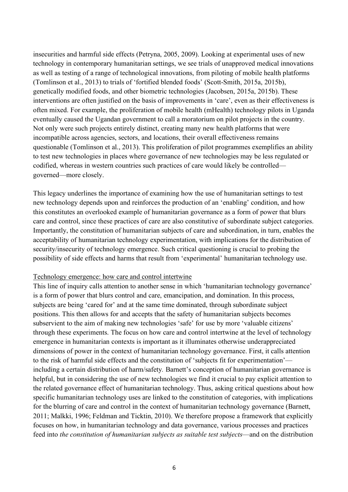insecurities and harmful side effects (Petryna, 2005, 2009). Looking at experimental uses of new technology in contemporary humanitarian settings, we see trials of unapproved medical innovations as well as testing of a range of technological innovations, from piloting of mobile health platforms (Tomlinson et al., 2013) to trials of 'fortified blended foods' (Scott-Smith, 2015a, 2015b), genetically modified foods, and other biometric technologies (Jacobsen, 2015a, 2015b). These interventions are often justified on the basis of improvements in 'care', even as their effectiveness is often mixed. For example, the proliferation of mobile health (mHealth) technology pilots in Uganda eventually caused the Ugandan government to call a moratorium on pilot projects in the country. Not only were such projects entirely distinct, creating many new health platforms that were incompatible across agencies, sectors, and locations, their overall effectiveness remains questionable (Tomlinson et al., 2013). This proliferation of pilot programmes exemplifies an ability to test new technologies in places where governance of new technologies may be less regulated or codified, whereas in western countries such practices of care would likely be controlled governed—more closely.

This legacy underlines the importance of examining how the use of humanitarian settings to test new technology depends upon and reinforces the production of an 'enabling' condition, and how this constitutes an overlooked example of humanitarian governance as a form of power that blurs care and control, since these practices of care are also constitutive of subordinate subject categories. Importantly, the constitution of humanitarian subjects of care and subordination, in turn, enables the acceptability of humanitarian technology experimentation, with implications for the distribution of security/insecurity of technology emergence. Such critical questioning is crucial to probing the possibility of side effects and harms that result from 'experimental' humanitarian technology use.

#### Technology emergence: how care and control intertwine

This line of inquiry calls attention to another sense in which 'humanitarian technology governance' is a form of power that blurs control and care, emancipation, and domination. In this process, subjects are being 'cared for' and at the same time dominated, through subordinate subject positions. This then allows for and accepts that the safety of humanitarian subjects becomes subservient to the aim of making new technologies 'safe' for use by more 'valuable citizens' through these experiments. The focus on how care and control intertwine at the level of technology emergence in humanitarian contexts is important as it illuminates otherwise underappreciated dimensions of power in the context of humanitarian technology governance. First, it calls attention to the risk of harmful side effects and the constitution of 'subjects fit for experimentation' including a certain distribution of harm/safety*.* Barnett's conception of humanitarian governance is helpful, but in considering the use of new technologies we find it crucial to pay explicit attention to the related governance effect of humanitarian technology. Thus, asking critical questions about how specific humanitarian technology uses are linked to the constitution of categories, with implications for the blurring of care and control in the context of humanitarian technology governance (Barnett, 2011; Malkki, 1996; Feldman and Ticktin, 2010). We therefore propose a framework that explicitly focuses on how, in humanitarian technology and data governance, various processes and practices feed into *the constitution of humanitarian subjects as suitable test subjects*—and on the distribution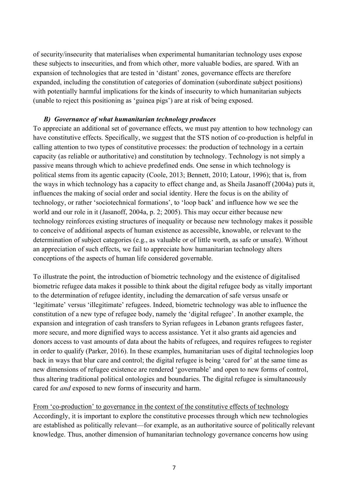of security/insecurity that materialises when experimental humanitarian technology uses expose these subjects to insecurities, and from which other, more valuable bodies, are spared. With an expansion of technologies that are tested in 'distant' zones, governance effects are therefore expanded, including the constitution of categories of domination (subordinate subject positions) with potentially harmful implications for the kinds of insecurity to which humanitarian subjects (unable to reject this positioning as 'guinea pigs') are at risk of being exposed.

## *B) Governance of what humanitarian technology produces*

To appreciate an additional set of governance effects, we must pay attention to how technology can have constitutive effects. Specifically, we suggest that the STS notion of co-production is helpful in calling attention to two types of constitutive processes: the production of technology in a certain capacity (as reliable or authoritative) and constitution by technology. Technology is not simply a passive means through which to achieve predefined ends. One sense in which technology is political stems from its agentic capacity (Coole, 2013; Bennett, 2010; Latour, 1996); that is, from the ways in which technology has a capacity to effect change and, as Sheila Jasanoff (2004a) puts it, influences the making of social order and social identity. Here the focus is on the ability of technology, or rather 'sociotechnical formations', to 'loop back' and influence how we see the world and our role in it (Jasanoff, 2004a, p. 2; 2005). This may occur either because new technology reinforces existing structures of inequality or because new technology makes it possible to conceive of additional aspects of human existence as accessible, knowable, or relevant to the determination of subject categories (e.g., as valuable or of little worth, as safe or unsafe). Without an appreciation of such effects, we fail to appreciate how humanitarian technology alters conceptions of the aspects of human life considered governable.

To illustrate the point, the introduction of biometric technology and the existence of digitalised biometric refugee data makes it possible to think about the digital refugee body as vitally important to the determination of refugee identity, including the demarcation of safe versus unsafe or 'legitimate' versus 'illegitimate' refugees. Indeed, biometric technology was able to influence the constitution of a new type of refugee body, namely the 'digital refugee'. In another example, the expansion and integration of cash transfers to Syrian refugees in Lebanon grants refugees faster, more secure, and more dignified ways to access assistance. Yet it also grants aid agencies and donors access to vast amounts of data about the habits of refugees, and requires refugees to register in order to qualify (Parker, 2016). In these examples, humanitarian uses of digital technologies loop back in ways that blur care and control; the digital refugee is being 'cared for' at the same time as new dimensions of refugee existence are rendered 'governable' and open to new forms of control, thus altering traditional political ontologies and boundaries. The digital refugee is simultaneously cared for *and* exposed to new forms of insecurity and harm.

From 'co-production' to governance in the context of the constitutive effects of technology Accordingly, it is important to explore the constitutive processes through which new technologies are established as politically relevant—for example, as an authoritative source of politically relevant knowledge. Thus, another dimension of humanitarian technology governance concerns how using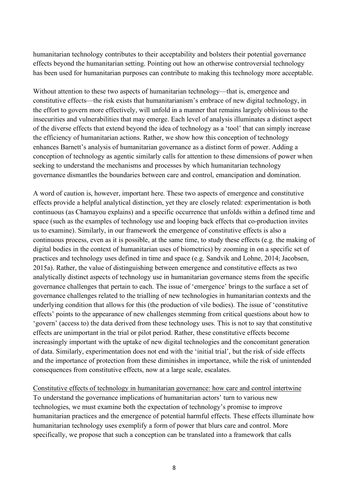humanitarian technology contributes to their acceptability and bolsters their potential governance effects beyond the humanitarian setting. Pointing out how an otherwise controversial technology has been used for humanitarian purposes can contribute to making this technology more acceptable.

Without attention to these two aspects of humanitarian technology—that is, emergence and constitutive effects—the risk exists that humanitarianism's embrace of new digital technology, in the effort to govern more effectively, will unfold in a manner that remains largely oblivious to the insecurities and vulnerabilities that may emerge. Each level of analysis illuminates a distinct aspect of the diverse effects that extend beyond the idea of technology as a 'tool' that can simply increase the efficiency of humanitarian actions. Rather, we show how this conception of technology enhances Barnett's analysis of humanitarian governance as a distinct form of power. Adding a conception of technology as agentic similarly calls for attention to these dimensions of power when seeking to understand the mechanisms and processes by which humanitarian technology governance dismantles the boundaries between care and control, emancipation and domination.

A word of caution is, however, important here. These two aspects of emergence and constitutive effects provide a helpful analytical distinction, yet they are closely related: experimentation is both continuous (as Chamayou explains) and a specific occurrence that unfolds within a defined time and space (such as the examples of technology use and looping back effects that co-production invites us to examine). Similarly, in our framework the emergence of constitutive effects is also a continuous process, even as it is possible, at the same time, to study these effects (e.g. the making of digital bodies in the context of humanitarian uses of biometrics) by zooming in on a specific set of practices and technology uses defined in time and space (e.g. Sandvik and Lohne, 2014; Jacobsen, 2015a). Rather, the value of distinguishing between emergence and constitutive effects as two analytically distinct aspects of technology use in humanitarian governance stems from the specific governance challenges that pertain to each. The issue of 'emergence' brings to the surface a set of governance challenges related to the trialling of new technologies in humanitarian contexts and the underlying condition that allows for this (the production of vile bodies). The issue of 'constitutive effects' points to the appearance of new challenges stemming from critical questions about how to 'govern' (access to) the data derived from these technology uses. This is not to say that constitutive effects are unimportant in the trial or pilot period. Rather, these constitutive effects become increasingly important with the uptake of new digital technologies and the concomitant generation of data. Similarly, experimentation does not end with the 'initial trial', but the risk of side effects and the importance of protection from these diminishes in importance, while the risk of unintended consequences from constitutive effects, now at a large scale, escalates.

Constitutive effects of technology in humanitarian governance: how care and control intertwine To understand the governance implications of humanitarian actors' turn to various new technologies, we must examine both the expectation of technology's promise to improve humanitarian practices and the emergence of potential harmful effects. These effects illuminate how humanitarian technology uses exemplify a form of power that blurs care and control. More specifically, we propose that such a conception can be translated into a framework that calls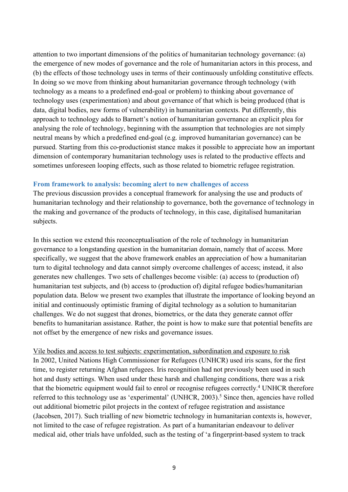attention to two important dimensions of the politics of humanitarian technology governance: (a) the emergence of new modes of governance and the role of humanitarian actors in this process, and (b) the effects of those technology uses in terms of their continuously unfolding constitutive effects. In doing so we move from thinking about humanitarian governance through technology (with technology as a means to a predefined end-goal or problem) to thinking about governance of technology uses (experimentation) and about governance of that which is being produced (that is data, digital bodies, new forms of vulnerability) in humanitarian contexts. Put differently, this approach to technology adds to Barnett's notion of humanitarian governance an explicit plea for analysing the role of technology, beginning with the assumption that technologies are not simply neutral means by which a predefined end-goal (e.g. improved humanitarian governance) can be pursued. Starting from this co-productionist stance makes it possible to appreciate how an important dimension of contemporary humanitarian technology uses is related to the productive effects and sometimes unforeseen looping effects, such as those related to biometric refugee registration.

#### **From framework to analysis: becoming alert to new challenges of access**

The previous discussion provides a conceptual framework for analysing the use and products of humanitarian technology and their relationship to governance, both the governance of technology in the making and governance of the products of technology, in this case, digitalised humanitarian subjects.

In this section we extend this reconceptualisation of the role of technology in humanitarian governance to a longstanding question in the humanitarian domain, namely that of access. More specifically, we suggest that the above framework enables an appreciation of how a humanitarian turn to digital technology and data cannot simply overcome challenges of access; instead, it also generates new challenges. Two sets of challenges become visible: (a) access to (production of) humanitarian test subjects, and (b) access to (production of) digital refugee bodies/humanitarian population data. Below we present two examples that illustrate the importance of looking beyond an initial and continuously optimistic framing of digital technology as a solution to humanitarian challenges. We do not suggest that drones, biometrics, or the data they generate cannot offer benefits to humanitarian assistance. Rather, the point is how to make sure that potential benefits are not offset by the emergence of new risks and governance issues.

Vile bodies and access to test subjects: experimentation, subordination and exposure to risk In 2002, United Nations High Commissioner for Refugees (UNHCR) used iris scans, for the first time, to register returning Afghan refugees. Iris recognition had not previously been used in such hot and dusty settings. When used under these harsh and challenging conditions, there was a risk that the biometric equipment would fail to enrol or recognise refugees correctly.<sup>4</sup> UNHCR therefore referred to this technology use as 'experimental' (UNHCR, 2003).<sup>5</sup> Since then, agencies have rolled out additional biometric pilot projects in the context of refugee registration and assistance (Jacobsen, 2017). Such trialling of new biometric technology in humanitarian contexts is, however, not limited to the case of refugee registration. As part of a humanitarian endeavour to deliver medical aid, other trials have unfolded, such as the testing of 'a fingerprint-based system to track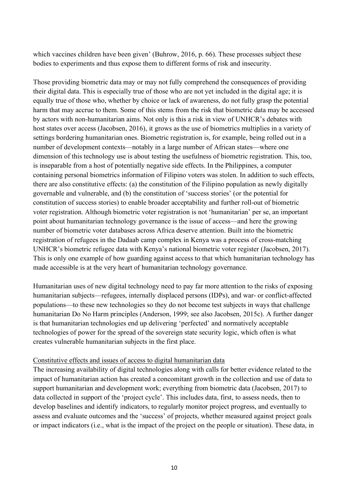which vaccines children have been given' (Buhrow, 2016, p. 66). These processes subject these bodies to experiments and thus expose them to different forms of risk and insecurity.

Those providing biometric data may or may not fully comprehend the consequences of providing their digital data. This is especially true of those who are not yet included in the digital age; it is equally true of those who, whether by choice or lack of awareness, do not fully grasp the potential harm that may accrue to them. Some of this stems from the risk that biometric data may be accessed by actors with non-humanitarian aims. Not only is this a risk in view of UNHCR's debates with host states over access (Jacobsen, 2016), it grows as the use of biometrics multiplies in a variety of settings bordering humanitarian ones. Biometric registration is, for example, being rolled out in a number of development contexts—notably in a large number of African states—where one dimension of this technology use is about testing the usefulness of biometric registration. This, too, is inseparable from a host of potentially negative side effects. In the Philippines, a computer containing personal biometrics information of Filipino voters was stolen. In addition to such effects, there are also constitutive effects: (a) the constitution of the Filipino population as newly digitally governable and vulnerable, and (b) the constitution of 'success stories' (or the potential for constitution of success stories) to enable broader acceptability and further roll-out of biometric voter registration. Although biometric voter registration is not 'humanitarian' per se, an important point about humanitarian technology governance is the issue of access—and here the growing number of biometric voter databases across Africa deserve attention. Built into the biometric registration of refugees in the Dadaab camp complex in Kenya was a process of cross-matching UNHCR's biometric refugee data with Kenya's national biometric voter register (Jacobsen, 2017). This is only one example of how guarding against access to that which humanitarian technology has made accessible is at the very heart of humanitarian technology governance.

Humanitarian uses of new digital technology need to pay far more attention to the risks of exposing humanitarian subjects—refugees, internally displaced persons (IDPs), and war- or conflict-affected populations—to these new technologies so they do not become test subjects in ways that challenge humanitarian Do No Harm principles (Anderson, 1999; see also Jacobsen, 2015c). A further danger is that humanitarian technologies end up delivering 'perfected' and normatively acceptable technologies of power for the spread of the sovereign state security logic, which often is what creates vulnerable humanitarian subjects in the first place.

## Constitutive effects and issues of access to digital humanitarian data

The increasing availability of digital technologies along with calls for better evidence related to the impact of humanitarian action has created a concomitant growth in the collection and use of data to support humanitarian and development work; everything from biometric data (Jacobsen, 2017) to data collected in support of the 'project cycle'. This includes data, first, to assess needs, then to develop baselines and identify indicators, to regularly monitor project progress, and eventually to assess and evaluate outcomes and the 'success' of projects, whether measured against project goals or impact indicators (i.e., what is the impact of the project on the people or situation). These data, in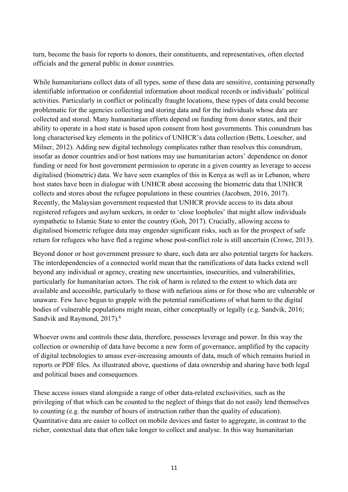turn, become the basis for reports to donors, their constituents, and representatives, often elected officials and the general public in donor countries.

While humanitarians collect data of all types, some of these data are sensitive, containing personally identifiable information or confidential information about medical records or individuals' political activities. Particularly in conflict or politically fraught locations, these types of data could become problematic for the agencies collecting and storing data and for the individuals whose data are collected and stored. Many humanitarian efforts depend on funding from donor states, and their ability to operate in a host state is based upon consent from host governments. This conundrum has long characterised key elements in the politics of UNHCR's data collection (Betts, Loescher, and Milner, 2012). Adding new digital technology complicates rather than resolves this conundrum, insofar as donor countries and/or host nations may use humanitarian actors' dependence on donor funding or need for host government permission to operate in a given country as leverage to access digitalised (biometric) data. We have seen examples of this in Kenya as well as in Lebanon, where host states have been in dialogue with UNHCR about accessing the biometric data that UNHCR collects and stores about the refugee populations in these countries (Jacobsen, 2016, 2017). Recently, the Malaysian government requested that UNHCR provide access to its data about registered refugees and asylum seekers, in order to 'close loopholes' that might allow individuals sympathetic to Islamic State to enter the country (Goh, 2017). Crucially, allowing access to digitalised biometric refugee data may engender significant risks, such as for the prospect of safe return for refugees who have fled a regime whose post-conflict role is still uncertain (Crowe, 2013).

Beyond donor or host government pressure to share, such data are also potential targets for hackers. The interdependencies of a connected world mean that the ramifications of data hacks extend well beyond any individual or agency, creating new uncertainties, insecurities, and vulnerabilities, particularly for humanitarian actors. The risk of harm is related to the extent to which data are available and accessible, particularly to those with nefarious aims or for those who are vulnerable or unaware. Few have begun to grapple with the potential ramifications of what harm to the digital bodies of vulnerable populations might mean, either conceptually or legally (e.g. Sandvik, 2016; Sandvik and Raymond, 2017).<sup>6</sup>

Whoever owns and controls these data, therefore, possesses leverage and power. In this way the collection or ownership of data have become a new form of governance, amplified by the capacity of digital technologies to amass ever-increasing amounts of data, much of which remains buried in reports or PDF files. As illustrated above, questions of data ownership and sharing have both legal and political bases and consequences.

These access issues stand alongside a range of other data-related exclusivities, such as the privileging of that which can be counted to the neglect of things that do not easily lend themselves to counting (e.g. the number of hours of instruction rather than the quality of education). Quantitative data are easier to collect on mobile devices and faster to aggregate, in contrast to the richer, contextual data that often take longer to collect and analyse. In this way humanitarian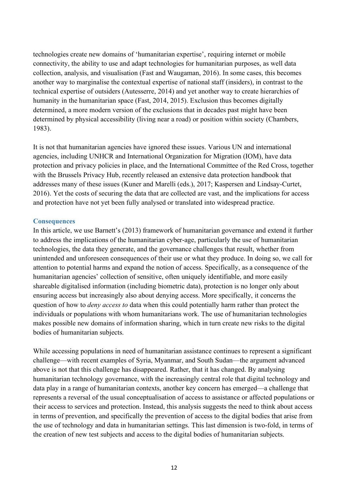technologies create new domains of 'humanitarian expertise', requiring internet or mobile connectivity, the ability to use and adapt technologies for humanitarian purposes, as well data collection, analysis, and visualisation (Fast and Waugaman, 2016). In some cases, this becomes another way to marginalise the contextual expertise of national staff (insiders), in contrast to the technical expertise of outsiders (Autesserre, 2014) and yet another way to create hierarchies of humanity in the humanitarian space (Fast, 2014, 2015). Exclusion thus becomes digitally determined, a more modern version of the exclusions that in decades past might have been determined by physical accessibility (living near a road) or position within society (Chambers, 1983).

It is not that humanitarian agencies have ignored these issues. Various UN and international agencies, including UNHCR and International Organization for Migration (IOM), have data protection and privacy policies in place, and the International Committee of the Red Cross, together with the Brussels Privacy Hub, recently released an extensive data protection handbook that addresses many of these issues (Kuner and Marelli (eds.), 2017; Kaspersen and Lindsay-Curtet, 2016). Yet the costs of securing the data that are collected are vast, and the implications for access and protection have not yet been fully analysed or translated into widespread practice.

## **Consequences**

In this article, we use Barnett's (2013) framework of humanitarian governance and extend it further to address the implications of the humanitarian cyber-age, particularly the use of humanitarian technologies, the data they generate, and the governance challenges that result, whether from unintended and unforeseen consequences of their use or what they produce. In doing so, we call for attention to potential harms and expand the notion of access. Specifically, as a consequence of the humanitarian agencies' collection of sensitive, often uniquely identifiable, and more easily shareable digitalised information (including biometric data), protection is no longer only about ensuring access but increasingly also about denying access. More specifically, it concerns the question of how to *deny access to* data when this could potentially harm rather than protect the individuals or populations with whom humanitarians work. The use of humanitarian technologies makes possible new domains of information sharing, which in turn create new risks to the digital bodies of humanitarian subjects.

While accessing populations in need of humanitarian assistance continues to represent a significant challenge—with recent examples of Syria, Myanmar, and South Sudan—the argument advanced above is not that this challenge has disappeared. Rather, that it has changed. By analysing humanitarian technology governance, with the increasingly central role that digital technology and data play in a range of humanitarian contexts, another key concern has emerged—a challenge that represents a reversal of the usual conceptualisation of access to assistance or affected populations or their access to services and protection. Instead, this analysis suggests the need to think about access in terms of prevention, and specifically the prevention of access to the digital bodies that arise from the use of technology and data in humanitarian settings. This last dimension is two-fold, in terms of the creation of new test subjects and access to the digital bodies of humanitarian subjects.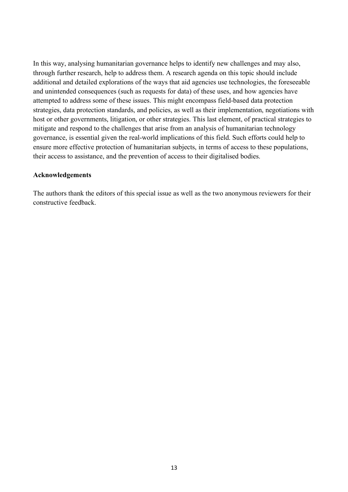In this way, analysing humanitarian governance helps to identify new challenges and may also, through further research, help to address them. A research agenda on this topic should include additional and detailed explorations of the ways that aid agencies use technologies, the foreseeable and unintended consequences (such as requests for data) of these uses, and how agencies have attempted to address some of these issues. This might encompass field-based data protection strategies, data protection standards, and policies, as well as their implementation, negotiations with host or other governments, litigation, or other strategies. This last element, of practical strategies to mitigate and respond to the challenges that arise from an analysis of humanitarian technology governance, is essential given the real-world implications of this field. Such efforts could help to ensure more effective protection of humanitarian subjects, in terms of access to these populations, their access to assistance, and the prevention of access to their digitalised bodies.

#### **Acknowledgements**

The authors thank the editors of this special issue as well as the two anonymous reviewers for their constructive feedback.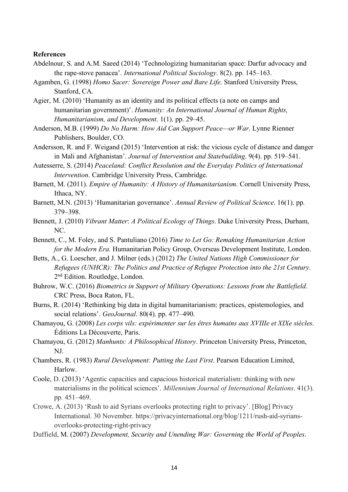#### **References**

- Abdelnour, S. and A.M. Saeed (2014) 'Technologizing humanitarian space: Darfur advocacy and the rape-stove panacea'. *International Political Sociology*. 8(2). pp. 145–163.
- Agamben, G. (1998) *Homo Sacer: Sovereign Power and Bare Life*. Stanford University Press, Stanford, CA.
- Agier, M. (2010) 'Humanity as an identity and its political effects (a note on camps and humanitarian government)'. *Humanity: An International Journal of Human Rights, Humanitarianism, and Development*. 1(1). pp. 29–45.
- Anderson, M.B. (1999) *Do No Harm: How Aid Can Support Peace—or War*. Lynne Rienner Publishers, Boulder, CO.
- Andersson, R. and F. Weigand (2015) 'Intervention at risk: the vicious cycle of distance and danger in Mali and Afghanistan'. *Journal of Intervention and Statebuilding*. 9(4). pp. 519–541.
- Autesserre, S. (2014) *Peaceland: Conflict Resolution and the Everyday Politics of International Intervention*. Cambridge University Press, Cambridge.
- Barnett, M. (2011). *Empire of Humanity: A History of Humanitarianism*. Cornell University Press, Ithaca, NY.
- Barnett, M.N. (2013) 'Humanitarian governance'. *Annual Review of Political Science*. 16(1). pp. 379–398.
- Bennett, J. (2010) *Vibrant Matter*: *A Political Ecology of Things*. Duke University Press, Durham, NC.
- Bennett, C., M. Foley, and S. Pantuliano (2016) *Time to Let Go: Remaking Humanitarian Action for the Modern Era.* Humanitarian Policy Group, Overseas Development Institute, London.
- Betts, A., G. Loescher, and J. Milner (eds.) (2012) *The United Nations High Commissioner for Refugees (UNHCR): The Politics and Practice of Refugee Protection into the 21st Century*. 2nd Edition. Routledge, London.
- Buhrow, W.C. (2016) *Biometrics in Support of Military Operations: Lessons from the Battlefield*. CRC Press, Boca Raton, FL.
- Burns, R. (2014) 'Rethinking big data in digital humanitarianism: practices, epistemologies, and social relations'. *GeoJournal*. 80(4). pp. 477–490.
- Chamayou, G. (2008) *Les corps vils: expérimenter sur les êtres humains aux XVIIIe et XIXe siècles*. Éditions La Découverte, Paris.
- Chamayou, G. (2012) *Manhunts: A Philosophical History*. Princeton University Press, Princeton, NJ.
- Chambers, R. (1983) *Rural Development: Putting the Last First*. Pearson Education Limited, Harlow.
- Coole, D. (2013) 'Agentic capacities and capacious historical materialism: thinking with new materialisms in the political sciences'. *Millennium Journal of International Relations*. 41(3). pp. 451–469.
- Crowe, A. (2013) 'Rush to aid Syrians overlooks protecting right to privacy'. [Blog] Privacy International. 30 November. https://privacyinternational.org/blog/1211/rush-aid-syriansoverlooks-protecting-right-privacy
- Duffield, M. (2007) *Development, Security and Unending War: Governing the World of Peoples*.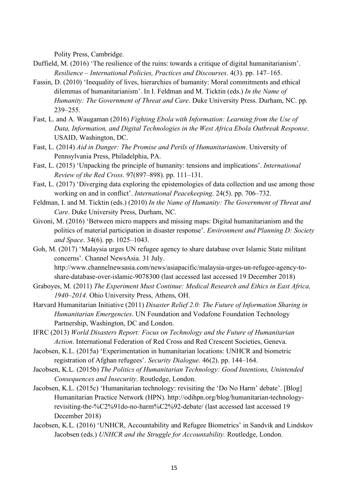Polity Press, Cambridge.

- Duffield, M. (2016) 'The resilience of the ruins: towards a critique of digital humanitarianism'. *Resilience* – *International Policies, Practices and Discourses*. 4(3). pp. 147–165.
- Fassin, D. (2010) 'Inequality of lives, hierarchies of humanity: Moral commitments and ethical dilemmas of humanitarianism'. In I. Feldman and M. Ticktin (eds.) *In the Name of Humanity: The Government of Threat and Care*. Duke University Press. Durham, NC. pp. 239–255.
- Fast, L. and A. Waugaman (2016) *Fighting Ebola with Information: Learning from the Use of Data, Information, and Digital Technologies in the West Africa Ebola Outbreak Response*. USAID, Washington, DC.
- Fast, L. (2014) *Aid in Danger: The Promise and Perils of Humanitarianism*. University of Pennsylvania Press, Philadelphia, PA.
- Fast, L. (2015) 'Unpacking the principle of humanity: tensions and implications'. *International Review of the Red Cross*. 97(897–898). pp. 111–131.
- Fast, L. (2017) 'Diverging data exploring the epistemologies of data collection and use among those working on and in conflict'. *International Peacekeeping*. 24(5). pp. 706–732.
- Feldman, I. and M. Ticktin (eds.) (2010) *In the Name of Humanity: The Government of Threat and Care*. Duke University Press, Durham, NC.
- Givoni, M. (2016) 'Between micro mappers and missing maps: Digital humanitarianism and the politics of material participation in disaster response'. *Environment and Planning D: Society and Space*. 34(6). pp. 1025–1043.
- Goh, M. (2017) 'Malaysia urges UN refugee agency to share database over Islamic State militant concerns'. Channel NewsAsia. 31 July. http://www.channelnewsasia.com/news/asiapacific/malaysia-urges-un-refugee-agency-toshare-database-over-islamic-9078300 (last accessed last accessed 19 December 2018)
- Graboyes, M. (2011) *The Experiment Must Continue: Medical Research and Ethics in East Africa, 1940–2014*. Ohio University Press, Athens, OH.
- Harvard Humanitarian Initiative (2011) *Disaster Relief 2.0: The Future of Information Sharing in Humanitarian Emergencies*. UN Foundation and Vodafone Foundation Technology Partnership, Washington, DC and London.
- IFRC (2013) *World Disasters Report: Focus on Technology and the Future of Humanitarian Action*. International Federation of Red Cross and Red Crescent Societies, Geneva.
- Jacobsen, K.L. (2015a) 'Experimentation in humanitarian locations: UNHCR and biometric registration of Afghan refugees'. *Security Dialogue*. 46(2). pp. 144–164.
- Jacobsen, K.L. (2015b) *The Politics of Humanitarian Technology: Good Intentions, Unintended Consequences and Insecurity*. Routledge, London.
- Jacobsen, K.L. (2015c) 'Humanitarian technology: revisiting the 'Do No Harm' debate'. [Blog] Humanitarian Practice Network (HPN). http://odihpn.org/blog/humanitarian-technologyrevisiting-the-%C2%91do-no-harm%C2%92-debate/ (last accessed last accessed 19 December 2018)
- Jacobsen, K.L. (2016) 'UNHCR, Accountability and Refugee Biometrics' in Sandvik and Lindskov Jacobsen (eds.) *UNHCR and the Struggle for Accountability.* Routledge, London.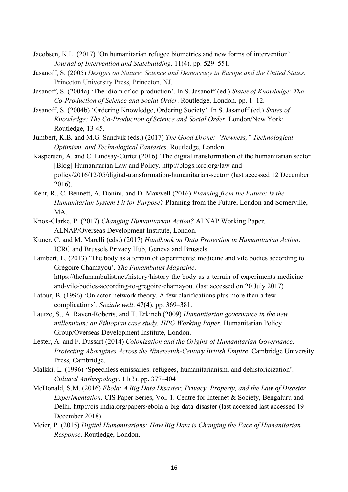- Jacobsen, K.L. (2017) 'On humanitarian refugee biometrics and new forms of intervention'. *Journal of Intervention and Statebuilding*. 11(4). pp. 529–551.
- Jasanoff, S. (2005) *Designs on Nature: Science and Democracy in Europe and the United States.*  Princeton University Press, Princeton, NJ.
- Jasanoff, S. (2004a) 'The idiom of co-production'. In S. Jasanoff (ed.) *States of Knowledge: The Co-Production of Science and Social Order*. Routledge, London. pp. 1–12.
- Jasanoff, S. (2004b) 'Ordering Knowledge, Ordering Society'. In S. Jasanoff (ed.) *States of Knowledge: The Co-Production of Science and Social Order*. London/New York: Routledge, 13-45.
- Jumbert, K.B. and M.G. Sandvik (eds.) (2017) *The Good Drone: "Newness," Technological Optimism, and Technological Fantasies*. Routledge, London.
- Kaspersen, A. and C. Lindsay-Curtet (2016) 'The digital transformation of the humanitarian sector'. [Blog] Humanitarian Law and Policy. http://blogs.icrc.org/law-andpolicy/2016/12/05/digital-transformation-humanitarian-sector/ (last accessed 12 December 2016).
- Kent, R., C. Bennett, A. Donini, and D. Maxwell (2016) *Planning from the Future: Is the Humanitarian System Fit for Purpose?* Planning from the Future, London and Somerville, MA.
- Knox-Clarke, P. (2017) *Changing Humanitarian Action?* ALNAP Working Paper. ALNAP/Overseas Development Institute, London.
- Kuner, C. and M. Marelli (eds.) (2017) *Handbook on Data Protection in Humanitarian Action*. ICRC and Brussels Privacy Hub, Geneva and Brussels.
- Lambert, L. (2013) 'The body as a terrain of experiments: medicine and vile bodies according to Grégoire Chamayou'. *The Funambulist Magazine*. https://thefunambulist.net/history/history-the-body-as-a-terrain-of-experiments-medicineand-vile-bodies-according-to-gregoire-chamayou. (last accessed on 20 July 2017)
- Latour, B. (1996) 'On actor-network theory. A few clarifications plus more than a few complications'. *Soziale welt*. 47(4). pp. 369–381.
- Lautze, S., A. Raven-Roberts, and T. Erkineh (2009) *Humanitarian governance in the new millennium: an Ethiopian case study. HPG Working Paper*. Humanitarian Policy Group/Overseas Development Institute, London.
- Lester, A. and F. Dussart (2014) *Colonization and the Origins of Humanitarian Governance: Protecting Aborigines Across the Nineteenth-Century British Empire*. Cambridge University Press, Cambridge.
- Malkki, L. (1996) 'Speechless emissaries: refugees, humanitarianism, and dehistoricization'. *Cultural Anthropology*. 11(3). pp. 377–404
- McDonald, S.M. (2016) *Ebola: A Big Data Disaster; Privacy, Property, and the Law of Disaster Experimentation.* CIS Paper Series, Vol. 1. Centre for Internet & Society, Bengaluru and Delhi. http://cis-india.org/papers/ebola-a-big-data-disaster (last accessed last accessed 19 December 2018)
- Meier, P. (2015) *Digital Humanitarians: How Big Data is Changing the Face of Humanitarian Response*. Routledge, London.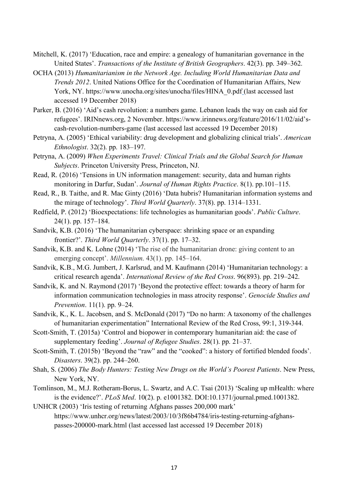- Mitchell, K. (2017) 'Education, race and empire: a genealogy of humanitarian governance in the United States'. *Transactions of the Institute of British Geographers*. 42(3). pp. 349–362.
- OCHA (2013) *Humanitarianism in the Network Age. Including World Humanitarian Data and Trends 2012*. United Nations Office for the Coordination of Humanitarian Affairs, New York, NY. https://www.unocha.org/sites/unocha/files/HINA\_0.pdf (last accessed last accessed 19 December 2018)
- Parker, B. (2016) 'Aid's cash revolution: a numbers game. Lebanon leads the way on cash aid for refugees'. IRINnews.org, 2 November. https://www.irinnews.org/feature/2016/11/02/aid'scash-revolution-numbers-game (last accessed last accessed 19 December 2018)
- Petryna, A. (2005) 'Ethical variability: drug development and globalizing clinical trials'. *American Ethnologist*. 32(2). pp. 183–197.
- Petryna, A. (2009) *When Experiments Travel: Clinical Trials and the Global Search for Human Subjects*. Princeton University Press, Princeton, NJ.
- Read, R. (2016) 'Tensions in UN information management: security, data and human rights monitoring in Darfur, Sudan'. *Journal of Human Rights Practice*. 8(1). pp.101–115.
- Read, R., B. Taithe, and R. Mac Ginty (2016) 'Data hubris? Humanitarian information systems and the mirage of technology'. *Third World Quarterly*. 37(8). pp. 1314–1331.
- Redfield, P. (2012) 'Bioexpectations: life technologies as humanitarian goods'. *Public Culture*. 24(1). pp. 157–184.
- Sandvik, K.B. (2016) 'The humanitarian cyberspace: shrinking space or an expanding frontier?'. *Third World Quarterly*. 37(1). pp. 17–32.
- Sandvik, K.B. and K. Lohne (2014) 'The rise of the humanitarian drone: giving content to an emerging concept'. *Millennium*. 43(1). pp. 145–164.
- Sandvik, K.B., M.G. Jumbert, J. Karlsrud, and M. Kaufmann (2014) 'Humanitarian technology: a critical research agenda'. *International Review of the Red Cross*. 96(893). pp. 219–242.
- Sandvik, K. and N. Raymond (2017) 'Beyond the protective effect: towards a theory of harm for information communication technologies in mass atrocity response'. *Genocide Studies and Prevention*. 11(1). pp. 9–24.
- Sandvik, K., K. L. Jacobsen, and S. McDonald (2017) "Do no harm: A taxonomy of the challenges of humanitarian experimentation" International Review of the Red Cross, 99:1, 319-344.
- Scott-Smith, T. (2015a) 'Control and biopower in contemporary humanitarian aid: the case of supplementary feeding'. *Journal of Refugee Studies*. 28(1). pp. 21–37.
- Scott-Smith, T. (2015b) 'Beyond the "raw" and the "cooked": a history of fortified blended foods'. *Disasters*. 39(2). pp. 244–260.
- Shah, S. (2006) *The Body Hunters: Testing New Drugs on the World's Poorest Patients*. New Press, New York, NY.
- Tomlinson, M., M.J. Rotheram-Borus, L. Swartz, and A.C. Tsai (2013) 'Scaling up mHealth: where is the evidence?'. *PLoS Med*. 10(2). p. e1001382. DOI:10.1371/journal.pmed.1001382.
- UNHCR (2003) 'Iris testing of returning Afghans passes 200,000 mark' https://www.unhcr.org/news/latest/2003/10/3f86b4784/iris-testing-returning-afghanspasses-200000-mark.html (last accessed last accessed 19 December 2018)